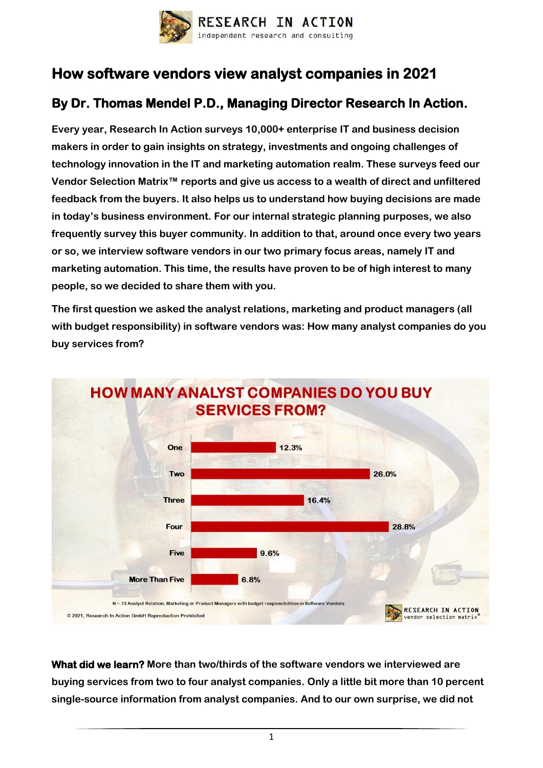

## **How software vendors view analyst companies in 2021**

## **By Dr. Thomas Mendel P.D., Managing Director Research In Action.**

**Every year, Research In Action surveys 10,000+ enterprise IT and business decision makers in order to gain insights on strategy, investments and ongoing challenges of technology innovation in the IT and marketing automation realm. These surveys feed our Vendor Selection Matrix™ reports and give us access to a wealth of direct and unfiltered feedback from the buyers. It also helps us to understand how buying decisions are made in today's business environment. For our internal strategic planning purposes, we also frequently survey this buyer community. In addition to that, around once every two years or so, we interview software vendors in our two primary focus areas, namely IT and marketing automation. This time, the results have proven to be of high interest to many people, so we decided to share them with you.**

**The first question we asked the analyst relations, marketing and product managers (all with budget responsibility) in software vendors was: How many analyst companies do you buy services from?**



**What did we learn? More than two/thirds of the software vendors we interviewed are buying services from two to four analyst companies. Only a little bit more than 10 percent single-source information from analyst companies. And to our own surprise, we did not**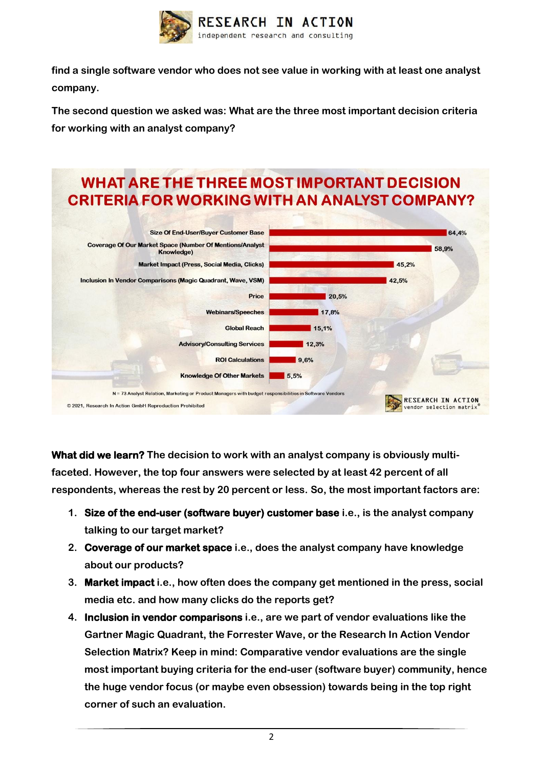

**find a single software vendor who does not see value in working with at least one analyst company.** 

**The second question we asked was: What are the three most important decision criteria for working with an analyst company?**



**What did we learn? The decision to work with an analyst company is obviously multifaceted. However, the top four answers were selected by at least 42 percent of all respondents, whereas the rest by 20 percent or less. So, the most important factors are:** 

- **1. Size of the end-user (software buyer) customer base i.e., is the analyst company talking to our target market?**
- **2. Coverage of our market space i.e., does the analyst company have knowledge about our products?**
- **3. Market impact i.e., how often does the company get mentioned in the press, social media etc. and how many clicks do the reports get?**
- **4. Inclusion in vendor comparisons i.e., are we part of vendor evaluations like the Gartner Magic Quadrant, the Forrester Wave, or the Research In Action Vendor Selection Matrix? Keep in mind: Comparative vendor evaluations are the single most important buying criteria for the end-user (software buyer) community, hence the huge vendor focus (or maybe even obsession) towards being in the top right corner of such an evaluation.**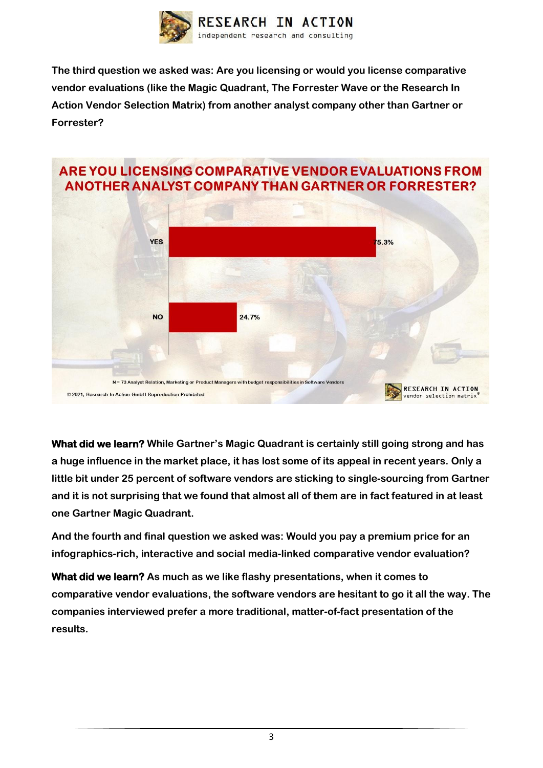

**The third question we asked was: Are you licensing or would you license comparative vendor evaluations (like the Magic Quadrant, The Forrester Wave or the Research In Action Vendor Selection Matrix) from another analyst company other than Gartner or Forrester?**



**What did we learn? While Gartner's Magic Quadrant is certainly still going strong and has a huge influence in the market place, it has lost some of its appeal in recent years. Only a little bit under 25 percent of software vendors are sticking to single-sourcing from Gartner and it is not surprising that we found that almost all of them are in fact featured in at least one Gartner Magic Quadrant.** 

**And the fourth and final question we asked was: Would you pay a premium price for an infographics-rich, interactive and social media-linked comparative vendor evaluation?**

**What did we learn? As much as we like flashy presentations, when it comes to comparative vendor evaluations, the software vendors are hesitant to go it all the way. The companies interviewed prefer a more traditional, matter-of-fact presentation of the results.**